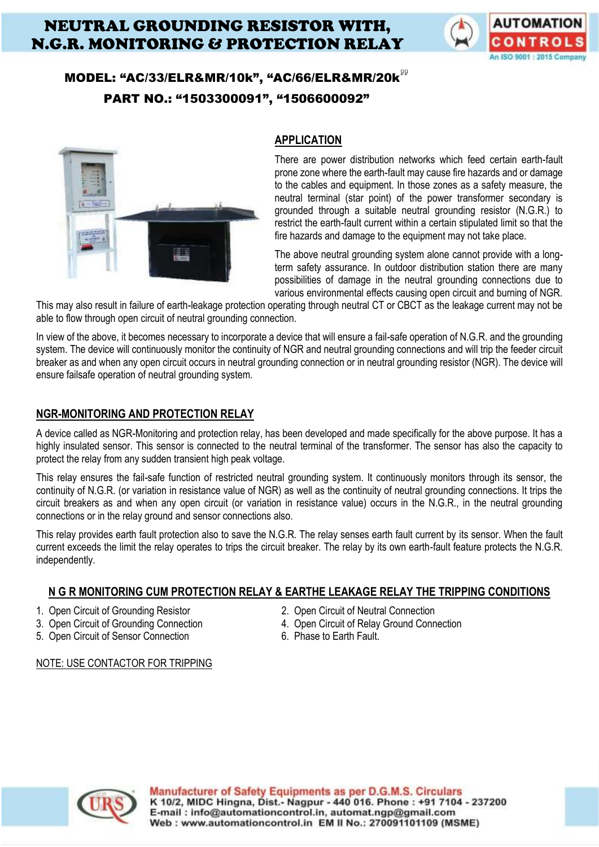# NEUTRAL GROUNDING RESISTOR WITH, N.G.R. MONITORING & PROTECTION RELAY



## MODEL: "AC/33/ELR&MR/10k", "AC/66/ELR&MR/20k PART NO.: "1503300091", "1506600092"



## **APPLICATION**

There are power distribution networks which feed certain earth-fault prone zone where the earth-fault may cause fire hazards and or damage to the cables and equipment. In those zones as a safety measure, the neutral terminal (star point) of the power transformer secondary is grounded through a suitable neutral grounding resistor (N.G.R.) to restrict the earth-fault current within a certain stipulated limit so that the fire hazards and damage to the equipment may not take place.

The above neutral grounding system alone cannot provide with a longterm safety assurance. In outdoor distribution station there are many possibilities of damage in the neutral grounding connections due to various environmental effects causing open circuit and burning of NGR.

This may also result in failure of earth-leakage protection operating through neutral CT or CBCT as the leakage current may not be able to flow through open circuit of neutral grounding connection.

In view of the above, it becomes necessary to incorporate a device that will ensure a fail-safe operation of N.G.R. and the grounding system. The device will continuously monitor the continuity of NGR and neutral grounding connections and will trip the feeder circuit breaker as and when any open circuit occurs in neutral grounding connection or in neutral grounding resistor (NGR). The device will ensure failsafe operation of neutral grounding system.

## **NGR-MONITORING AND PROTECTION RELAY**

A device called as NGR-Monitoring and protection relay, has been developed and made specifically for the above purpose. It has a highly insulated sensor. This sensor is connected to the neutral terminal of the transformer. The sensor has also the capacity to protect the relay from any sudden transient high peak voltage.

This relay ensures the fail-safe function of restricted neutral grounding system. It continuously monitors through its sensor, the continuity of N.G.R. (or variation in resistance value of NGR) as well as the continuity of neutral grounding connections. It trips the circuit breakers as and when any open circuit (or variation in resistance value) occurs in the N.G.R., in the neutral grounding connections or in the relay ground and sensor connections also.

This relay provides earth fault protection also to save the N.G.R. The relay senses earth fault current by its sensor. When the fault current exceeds the limit the relay operates to trips the circuit breaker. The relay by its own earth-fault feature protects the N.G.R. independently.

### **N G R MONITORING CUM PROTECTION RELAY & EARTHE LEAKAGE RELAY THE TRIPPING CONDITIONS**

- 
- 
- 5. Open Circuit of Sensor Connection 6. Phase to Earth Fault.
- 1. Open Circuit of Grounding Resistor 2. Open Circuit of Neutral Connection
- 3. Open Circuit of Grounding Connection 4. Open Circuit of Relay Ground Connection
	-



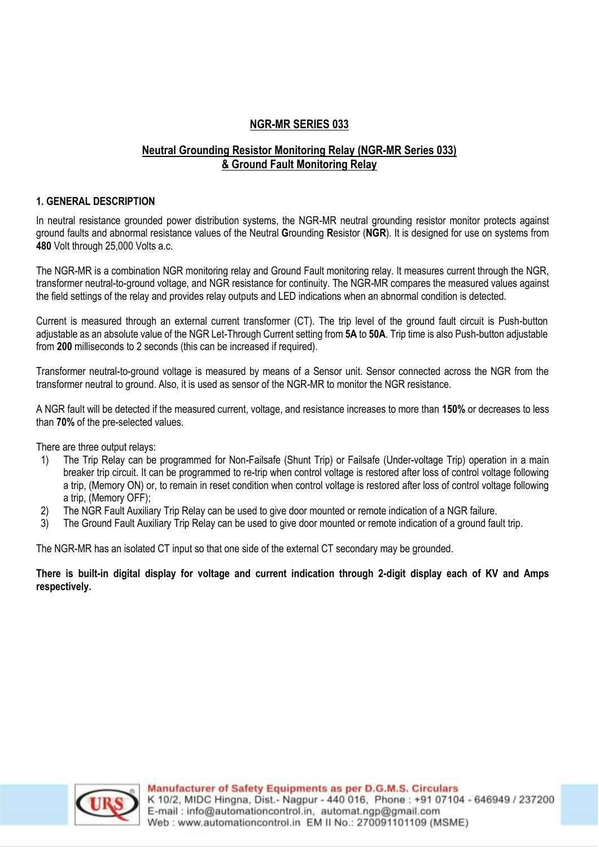#### **NGR-MR SERIES 033**

## **Neutral Grounding Resistor Monitoring Relay (NGR-MR Series 033) & Ground Fault Monitoring Relay**

#### **1. GENERAL DESCRIPTION**

In neutral resistance grounded power distribution systems, the NGR-MR neutral grounding resistor monitor protects against ground faults and abnormal resistance values of the Neutral **G**rounding **R**esistor (**NGR**). It is designed for use on systems from **480** Volt through 25,000 Volts a.c.

The NGR-MR is a combination NGR monitoring relay and Ground Fault monitoring relay. It measures current through the NGR, transformer neutral-to-ground voltage, and NGR resistance for continuity. The NGR-MR compares the measured values against the field settings of the relay and provides relay outputs and LED indications when an abnormal condition is detected.

Current is measured through an external current transformer (CT). The trip level of the ground fault circuit is Push-button adjustable as an absolute value of the NGR Let-Through Current setting from **5A** to **50A**. Trip time is also Push-button adjustable from **200** milliseconds to 2 seconds (this can be increased if required).

Transformer neutral-to-ground voltage is measured by means of a Sensor unit. Sensor connected across the NGR from the transformer neutral to ground. Also, it is used as sensor of the NGR-MR to monitor the NGR resistance.

A NGR fault will be detected if the measured current, voltage, and resistance increases to more than **150%** or decreases to less than **70%** of the pre-selected values.

There are three output relays:

- 1) The Trip Relay can be programmed for Non-Failsafe (Shunt Trip) or Failsafe (Under-voltage Trip) operation in a main breaker trip circuit. It can be programmed to re-trip when control voltage is restored after loss of control voltage following a trip, (Memory ON) or, to remain in reset condition when control voltage is restored after loss of control voltage following a trip, (Memory OFF);
- 2) The NGR Fault Auxiliary Trip Relay can be used to give door mounted or remote indication of a NGR failure.
- 3) The Ground Fault Auxiliary Trip Relay can be used to give door mounted or remote indication of a ground fault trip.

The NGR-MR has an isolated CT input so that one side of the external CT secondary may be grounded.

**There is built-in digital display for voltage and current indication through 2-digit display each of KV and Amps respectively.** 

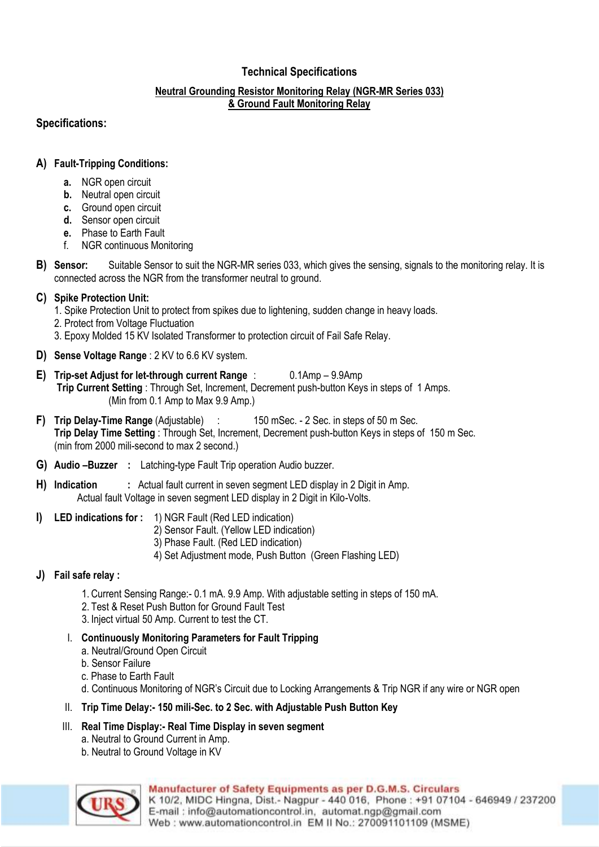## **Technical Specifications**

#### **Neutral Grounding Resistor Monitoring Relay (NGR-MR Series 033) & Ground Fault Monitoring Relay**

## **Specifications:**

## **A) Fault-Tripping Conditions:**

- **a.** NGR open circuit
- **b.** Neutral open circuit
- **c.** Ground open circuit
- **d.** Sensor open circuit
- **e.** Phase to Earth Fault
- f. NGR continuous Monitoring
- **B) Sensor:** Suitable Sensor to suit the NGR-MR series 033, which gives the sensing, signals to the monitoring relay. It is connected across the NGR from the transformer neutral to ground.

## **C) Spike Protection Unit:**

- 1. Spike Protection Unit to protect from spikes due to lightening, sudden change in heavy loads.
- 2. Protect from Voltage Fluctuation
- 3. Epoxy Molded 15 KV Isolated Transformer to protection circuit of Fail Safe Relay.
- **D) Sense Voltage Range** : 2 KV to 6.6 KV system.
- **E) Trip-set Adjust for let-through current Range** : 0.1Amp 9.9Amp **Trip Current Setting** : Through Set, Increment, Decrement push-button Keys in steps of 1 Amps. (Min from 0.1 Amp to Max 9.9 Amp.)
- **F) Trip Delay-Time Range** (Adjustable) : 150 mSec. 2 Sec. in steps of 50 m Sec. **Trip Delay Time Setting** : Through Set, Increment, Decrement push-button Keys in steps of 150 m Sec. (min from 2000 mili-second to max 2 second.)
- **G) Audio –Buzzer :** Latching-type Fault Trip operation Audio buzzer.
- **H) Indication :** Actual fault current in seven segment LED display in 2 Digit in Amp. Actual fault Voltage in seven segment LED display in 2 Digit in Kilo-Volts.
- **I) LED indications for :** 1) NGR Fault (Red LED indication)
	- 2) Sensor Fault. (Yellow LED indication)
	- 3) Phase Fault. (Red LED indication)
	- 4) Set Adjustment mode, Push Button (Green Flashing LED)

## **J) Fail safe relay :**

- 1. Current Sensing Range:- 0.1 mA. 9.9 Amp. With adjustable setting in steps of 150 mA.
- 2. Test & Reset Push Button for Ground Fault Test
- 3. Inject virtual 50 Amp. Current to test the CT.
- I. **Continuously Monitoring Parameters for Fault Tripping**
	- a. Neutral/Ground Open Circuit
	- b. Sensor Failure
	- c. Phase to Earth Fault
	- d. Continuous Monitoring of NGR's Circuit due to Locking Arrangements & Trip NGR if any wire or NGR open
- II. **Trip Time Delay:- 150 mili-Sec. to 2 Sec. with Adjustable Push Button Key**
- III. **Real Time Display:- Real Time Display in seven segment**
	- a. Neutral to Ground Current in Amp.
	- b. Neutral to Ground Voltage in KV

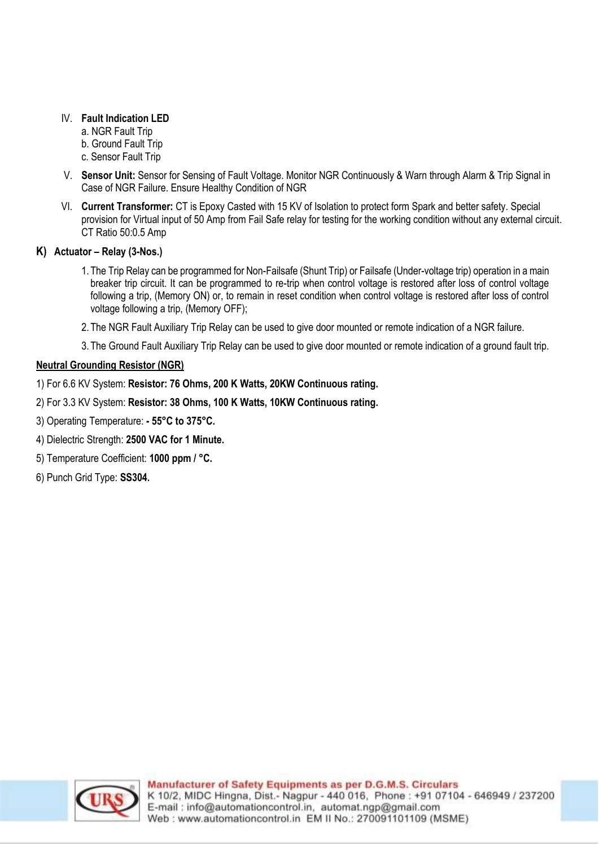#### IV. **Fault Indication LED**

- a. NGR Fault Trip b. Ground Fault Trip
- c. Sensor Fault Trip
- V. **Sensor Unit:** Sensor for Sensing of Fault Voltage. Monitor NGR Continuously & Warn through Alarm & Trip Signal in Case of NGR Failure. Ensure Healthy Condition of NGR
- VI. **Current Transformer:** CT is Epoxy Casted with 15 KV of Isolation to protect form Spark and better safety. Special provision for Virtual input of 50 Amp from Fail Safe relay for testing for the working condition without any external circuit. CT Ratio 50:0.5 Amp

### **K) Actuator – Relay (3-Nos.)**

- 1. The Trip Relay can be programmed for Non-Failsafe (Shunt Trip) or Failsafe (Under-voltage trip) operation in a main breaker trip circuit. It can be programmed to re-trip when control voltage is restored after loss of control voltage following a trip, (Memory ON) or, to remain in reset condition when control voltage is restored after loss of control voltage following a trip, (Memory OFF);
- 2. The NGR Fault Auxiliary Trip Relay can be used to give door mounted or remote indication of a NGR failure.
- 3. The Ground Fault Auxiliary Trip Relay can be used to give door mounted or remote indication of a ground fault trip.

#### **Neutral Grounding Resistor (NGR)**

- 1) For 6.6 KV System: **Resistor: 76 Ohms, 200 K Watts, 20KW Continuous rating.**
- 2) For 3.3 KV System: **Resistor: 38 Ohms, 100 K Watts, 10KW Continuous rating.**
- 3) Operating Temperature: **- 55°C to 375°C.**
- 4) Dielectric Strength: **2500 VAC for 1 Minute.**
- 5) Temperature Coefficient: **1000 ppm / °C.**
- 6) Punch Grid Type: **SS304.**